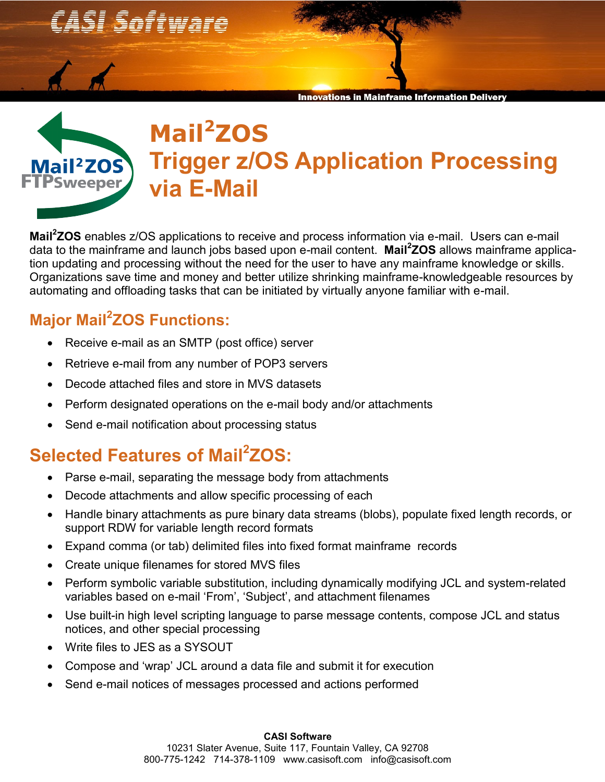*CASI Software* 



**Innovations in Mainframe Information Deliverv** 



## **Mail<sup>2</sup>ZOS Trigger z/OS Application Processing via E-Mail**

**Mail<sup>2</sup> ZOS** enables z/OS applications to receive and process information via e-mail. Users can e-mail data to the mainframe and launch jobs based upon e-mail content. **Mail<sup>2</sup> ZOS** allows mainframe application updating and processing without the need for the user to have any mainframe knowledge or skills. Organizations save time and money and better utilize shrinking mainframe-knowledgeable resources by automating and offloading tasks that can be initiated by virtually anyone familiar with e-mail.

## **Major Mail<sup>2</sup> ZOS Functions:**

- Receive e-mail as an SMTP (post office) server
- Retrieve e-mail from any number of POP3 servers
- Decode attached files and store in MVS datasets
- Perform designated operations on the e-mail body and/or attachments
- Send e-mail notification about processing status

## **Selected Features of Mail<sup>2</sup> ZOS:**

- Parse e-mail, separating the message body from attachments
- Decode attachments and allow specific processing of each
- Handle binary attachments as pure binary data streams (blobs), populate fixed length records, or support RDW for variable length record formats
- Expand comma (or tab) delimited files into fixed format mainframe records
- Create unique filenames for stored MVS files
- Perform symbolic variable substitution, including dynamically modifying JCL and system-related variables based on e-mail 'From', 'Subject', and attachment filenames
- Use built-in high level scripting language to parse message contents, compose JCL and status notices, and other special processing
- Write files to JES as a SYSOUT
- Compose and 'wrap' JCL around a data file and submit it for execution
- Send e-mail notices of messages processed and actions performed